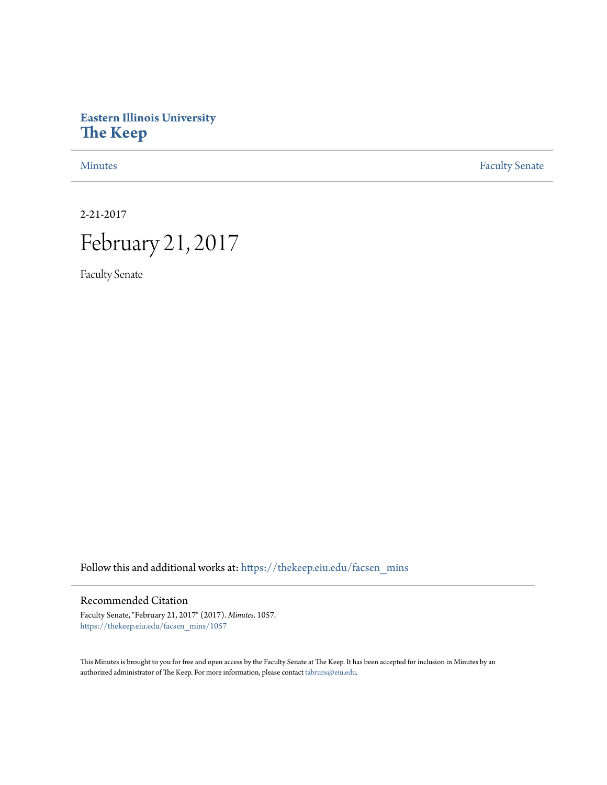## **Eastern Illinois University [The Keep](https://thekeep.eiu.edu?utm_source=thekeep.eiu.edu%2Ffacsen_mins%2F1057&utm_medium=PDF&utm_campaign=PDFCoverPages)**

[Minutes](https://thekeep.eiu.edu/facsen_mins?utm_source=thekeep.eiu.edu%2Ffacsen_mins%2F1057&utm_medium=PDF&utm_campaign=PDFCoverPages) **[Faculty Senate](https://thekeep.eiu.edu/fac_senate?utm_source=thekeep.eiu.edu%2Ffacsen_mins%2F1057&utm_medium=PDF&utm_campaign=PDFCoverPages)** 

2-21-2017

## February 21, 2017

Faculty Senate

Follow this and additional works at: [https://thekeep.eiu.edu/facsen\\_mins](https://thekeep.eiu.edu/facsen_mins?utm_source=thekeep.eiu.edu%2Ffacsen_mins%2F1057&utm_medium=PDF&utm_campaign=PDFCoverPages)

## Recommended Citation

Faculty Senate, "February 21, 2017" (2017). *Minutes*. 1057. [https://thekeep.eiu.edu/facsen\\_mins/1057](https://thekeep.eiu.edu/facsen_mins/1057?utm_source=thekeep.eiu.edu%2Ffacsen_mins%2F1057&utm_medium=PDF&utm_campaign=PDFCoverPages)

This Minutes is brought to you for free and open access by the Faculty Senate at The Keep. It has been accepted for inclusion in Minutes by an authorized administrator of The Keep. For more information, please contact [tabruns@eiu.edu](mailto:tabruns@eiu.edu).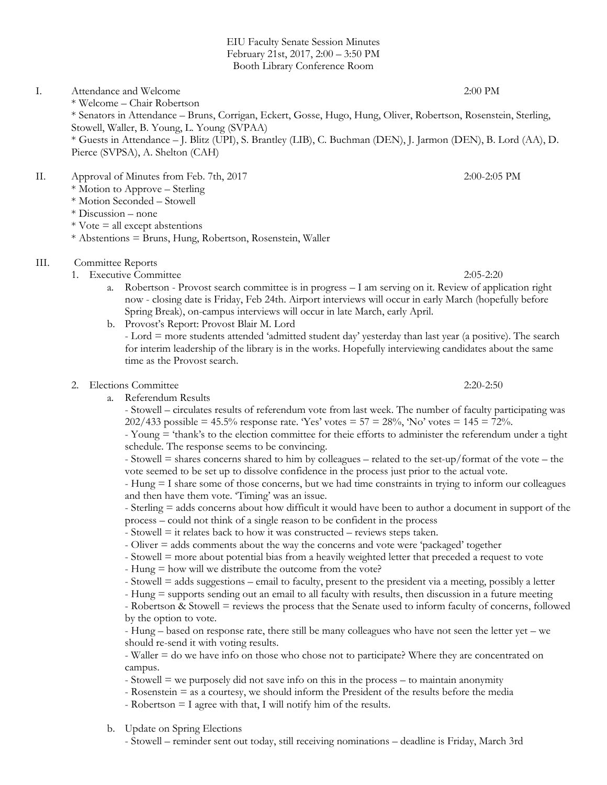EIU Faculty Senate Session Minutes February 21st, 2017, 2:00 – 3:50 PM Booth Library Conference Room

I. Attendance and Welcome 2:00 PM \* Welcome – Chair Robertson \* Senators in Attendance – Bruns, Corrigan, Eckert, Gosse, Hugo, Hung, Oliver, Robertson, Rosenstein, Sterling, Stowell, Waller, B. Young, L. Young (SVPAA) \* Guests in Attendance – J. Blitz (UPI), S. Brantley (LIB), C. Buchman (DEN), J. Jarmon (DEN), B. Lord (AA), D. Pierce (SVPSA), A. Shelton (CAH)

- II. Approval of Minutes from Feb. 7th, 2017 2:00-2:05 PM
	- \* Motion to Approve Sterling
	- \* Motion Seconded Stowell
	- \* Discussion none
	- $*$  Vote  $=$  all except abstentions
	- \* Abstentions = Bruns, Hung, Robertson, Rosenstein, Waller
- III. Committee Reports
	- 1. Executive Committee 2:05-2:20
		- a. Robertson Provost search committee is in progress I am serving on it. Review of application right now - closing date is Friday, Feb 24th. Airport interviews will occur in early March (hopefully before Spring Break), on-campus interviews will occur in late March, early April.
		- b. Provost's Report: Provost Blair M. Lord

- Lord = more students attended 'admitted student day' yesterday than last year (a positive). The search for interim leadership of the library is in the works. Hopefully interviewing candidates about the same time as the Provost search.

- 2. Elections Committee 2:20-2:50
	- a. Referendum Results

- Stowell – circulates results of referendum vote from last week. The number of faculty participating was 202/433 possible =  $45.5\%$  response rate. 'Yes' votes =  $57 = 28\%$ , 'No' votes =  $145 = 72\%$ .

- Young = 'thank's to the election committee for theie efforts to administer the referendum under a tight schedule. The response seems to be convincing.

- Stowell = shares concerns shared to him by colleagues – related to the set-up/format of the vote – the vote seemed to be set up to dissolve confidence in the process just prior to the actual vote.

- Hung = I share some of those concerns, but we had time constraints in trying to inform our colleagues and then have them vote. 'Timing' was an issue.

- Sterling = adds concerns about how difficult it would have been to author a document in support of the process – could not think of a single reason to be confident in the process

- Stowell = it relates back to how it was constructed reviews steps taken.
- Oliver = adds comments about the way the concerns and vote were 'packaged' together
- Stowell = more about potential bias from a heavily weighted letter that preceded a request to vote
- Hung = how will we distribute the outcome from the vote?
- Stowell = adds suggestions email to faculty, present to the president via a meeting, possibly a letter
- Hung = supports sending out an email to all faculty with results, then discussion in a future meeting

- Robertson & Stowell = reviews the process that the Senate used to inform faculty of concerns, followed by the option to vote.

- Hung – based on response rate, there still be many colleagues who have not seen the letter yet – we should re-send it with voting results.

- Waller = do we have info on those who chose not to participate? Where they are concentrated on campus.

- Stowell = we purposely did not save info on this in the process – to maintain anonymity

- Rosenstein = as a courtesy, we should inform the President of the results before the media
- Robertson = I agree with that, I will notify him of the results.
- b. Update on Spring Elections

- Stowell – reminder sent out today, still receiving nominations – deadline is Friday, March 3rd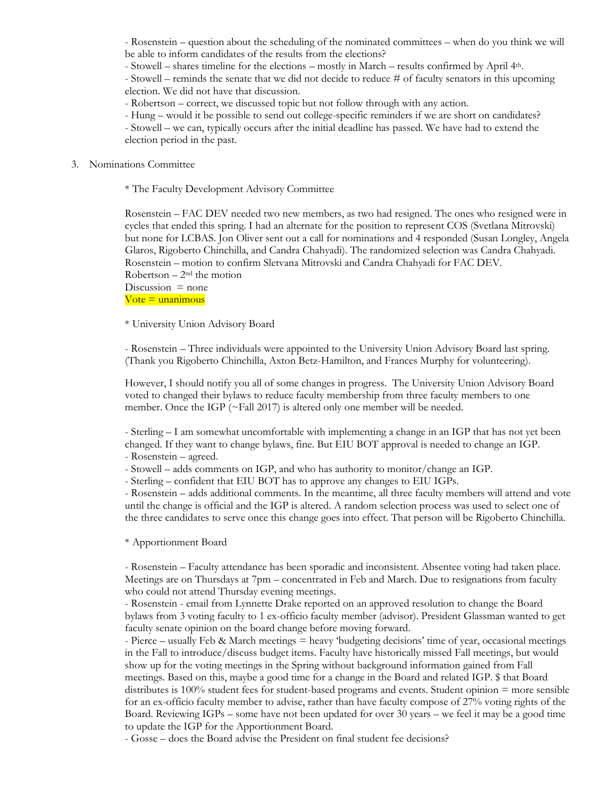- Rosenstein – question about the scheduling of the nominated committees – when do you think we will be able to inform candidates of the results from the elections?

- Stowell – shares timeline for the elections – mostly in March – results confirmed by April 4th.

- Stowell – reminds the senate that we did not decide to reduce # of faculty senators in this upcoming election. We did not have that discussion.

- Robertson – correct, we discussed topic but not follow through with any action.

- Hung – would it be possible to send out college-specific reminders if we are short on candidates?

- Stowell – we can, typically occurs after the initial deadline has passed. We have had to extend the election period in the past.

## 3. Nominations Committee

\* The Faculty Development Advisory Committee

Rosenstein – FAC DEV needed two new members, as two had resigned. The ones who resigned were in cycles that ended this spring. I had an alternate for the position to represent COS (Svetlana Mitrovski) but none for LCBAS. Jon Oliver sent out a call for nominations and 4 responded (Susan Longley, Angela Glaros, Rigoberto Chinchilla, and Candra Chahyadi). The randomized selection was Candra Chahyadi. Rosenstein – motion to confirm Sletvana Mitrovski and Candra Chahyadi for FAC DEV. Robertson  $-2<sup>nd</sup>$  the motion

Discussion  $=$  none  $Vote =$ unanimous

\* University Union Advisory Board

- Rosenstein – Three individuals were appointed to the University Union Advisory Board last spring. (Thank you Rigoberto Chinchilla, Axton Betz-Hamilton, and Frances Murphy for volunteering).

However, I should notify you all of some changes in progress. The University Union Advisory Board voted to changed their bylaws to reduce faculty membership from three faculty members to one member. Once the IGP (~Fall 2017) is altered only one member will be needed.

- Sterling – I am somewhat uncomfortable with implementing a change in an IGP that has not yet been changed. If they want to change bylaws, fine. But EIU BOT approval is needed to change an IGP. - Rosenstein – agreed.

- Stowell – adds comments on IGP, and who has authority to monitor/change an IGP.

- Sterling – confident that EIU BOT has to approve any changes to EIU IGPs.

- Rosenstein – adds additional comments. In the meantime, all three faculty members will attend and vote until the change is official and the IGP is altered. A random selection process was used to select one of the three candidates to serve once this change goes into effect. That person will be Rigoberto Chinchilla.

\* Apportionment Board

- Rosenstein – Faculty attendance has been sporadic and inconsistent. Absentee voting had taken place. Meetings are on Thursdays at 7pm – concentrated in Feb and March. Due to resignations from faculty who could not attend Thursday evening meetings.

- Rosenstein - email from Lynnette Drake reported on an approved resolution to change the Board bylaws from 3 voting faculty to 1 ex-officio faculty member (advisor). President Glassman wanted to get faculty senate opinion on the board change before moving forward.

- Pierce – usually Feb & March meetings = heavy 'budgeting decisions' time of year, occasional meetings in the Fall to introduce/discuss budget items. Faculty have historically missed Fall meetings, but would show up for the voting meetings in the Spring without background information gained from Fall meetings. Based on this, maybe a good time for a change in the Board and related IGP. \$ that Board distributes is 100% student fees for student-based programs and events. Student opinion = more sensible for an ex-officio faculty member to advise, rather than have faculty compose of 27% voting rights of the Board. Reviewing IGPs – some have not been updated for over 30 years – we feel it may be a good time to update the IGP for the Apportionment Board.

- Gosse – does the Board advise the President on final student fee decisions?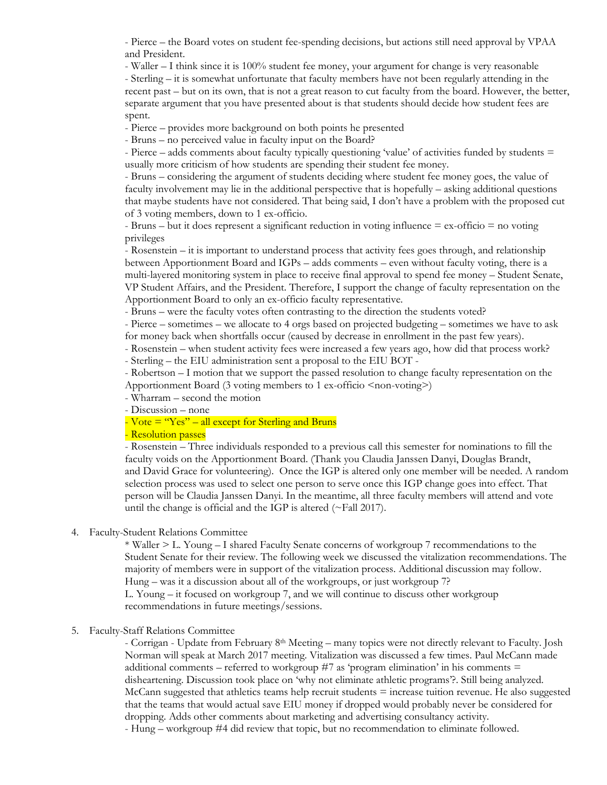- Pierce – the Board votes on student fee-spending decisions, but actions still need approval by VPAA and President.

- Waller – I think since it is 100% student fee money, your argument for change is very reasonable - Sterling – it is somewhat unfortunate that faculty members have not been regularly attending in the recent past – but on its own, that is not a great reason to cut faculty from the board. However, the better, separate argument that you have presented about is that students should decide how student fees are spent.

- Pierce – provides more background on both points he presented

- Bruns – no perceived value in faculty input on the Board?

- Pierce – adds comments about faculty typically questioning 'value' of activities funded by students = usually more criticism of how students are spending their student fee money.

- Bruns – considering the argument of students deciding where student fee money goes, the value of faculty involvement may lie in the additional perspective that is hopefully – asking additional questions that maybe students have not considered. That being said, I don't have a problem with the proposed cut of 3 voting members, down to 1 ex-officio.

- Bruns – but it does represent a significant reduction in voting influence = ex-officio = no voting privileges

- Rosenstein – it is important to understand process that activity fees goes through, and relationship between Apportionment Board and IGPs – adds comments – even without faculty voting, there is a multi-layered monitoring system in place to receive final approval to spend fee money – Student Senate, VP Student Affairs, and the President. Therefore, I support the change of faculty representation on the Apportionment Board to only an ex-officio faculty representative.

- Bruns – were the faculty votes often contrasting to the direction the students voted?

- Pierce – sometimes – we allocate to 4 orgs based on projected budgeting – sometimes we have to ask for money back when shortfalls occur (caused by decrease in enrollment in the past few years).

- Rosenstein – when student activity fees were increased a few years ago, how did that process work? - Sterling – the EIU administration sent a proposal to the EIU BOT -

- Robertson – I motion that we support the passed resolution to change faculty representation on the Apportionment Board (3 voting members to 1 ex-officio <non-voting>)

- Wharram – second the motion

- Discussion – none

- Vote  $=$  "Yes" – all except for Sterling and Bruns

- Resolution passes

- Rosenstein – Three individuals responded to a previous call this semester for nominations to fill the faculty voids on the Apportionment Board. (Thank you Claudia Janssen Danyi, Douglas Brandt, and David Grace for volunteering). Once the IGP is altered only one member will be needed. A random selection process was used to select one person to serve once this IGP change goes into effect. That person will be Claudia Janssen Danyi. In the meantime, all three faculty members will attend and vote until the change is official and the IGP is altered (~Fall 2017).

4. Faculty-Student Relations Committee

\* Waller > L. Young – I shared Faculty Senate concerns of workgroup 7 recommendations to the Student Senate for their review. The following week we discussed the vitalization recommendations. The majority of members were in support of the vitalization process. Additional discussion may follow. Hung – was it a discussion about all of the workgroups, or just workgroup 7?

L. Young – it focused on workgroup 7, and we will continue to discuss other workgroup recommendations in future meetings/sessions.

5. Faculty-Staff Relations Committee

- Corrigan - Update from February 8<sup>th</sup> Meeting – many topics were not directly relevant to Faculty. Josh Norman will speak at March 2017 meeting. Vitalization was discussed a few times. Paul McCann made additional comments – referred to workgroup  $#7$  as 'program elimination' in his comments  $=$ disheartening. Discussion took place on 'why not eliminate athletic programs'?. Still being analyzed. McCann suggested that athletics teams help recruit students = increase tuition revenue. He also suggested that the teams that would actual save EIU money if dropped would probably never be considered for dropping. Adds other comments about marketing and advertising consultancy activity. - Hung – workgroup #4 did review that topic, but no recommendation to eliminate followed.